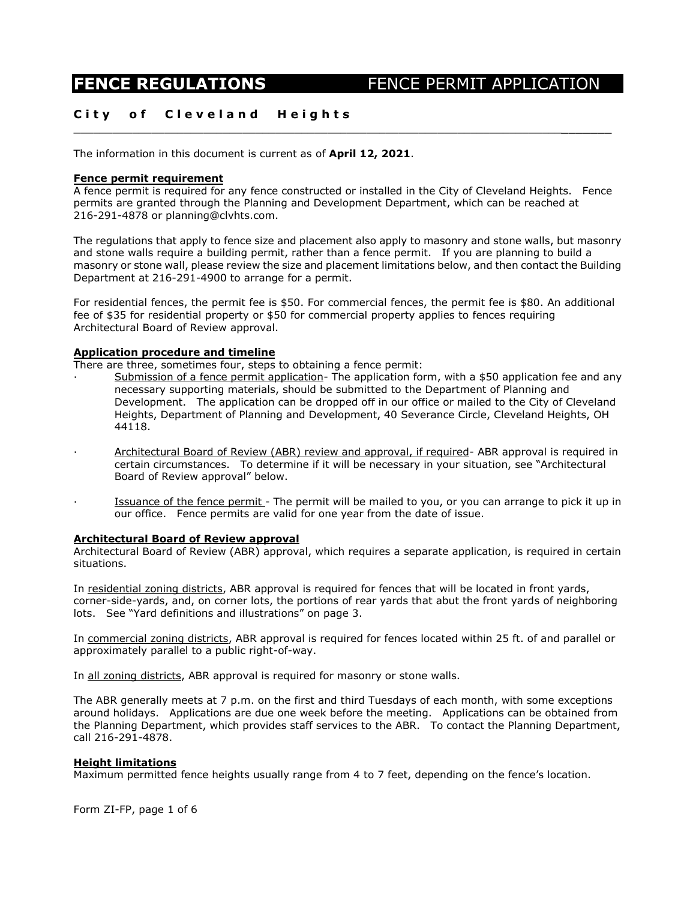# **FENCE REGULATIONS** FENCE PERMIT APPLICATION

# **City of Cleveland Heights**

The information in this document is current as of **April 12, 2021**.

### **Fence permit requirement**

A fence permit is required for any fence constructed or installed in the City of Cleveland Heights. Fence permits are granted through the Planning and Development Department, which can be reached at 216-291-4878 or planning@clvhts.com.

\_\_\_\_\_\_\_\_\_\_\_\_\_\_\_\_\_\_\_\_\_\_\_\_\_\_\_\_\_\_\_\_\_\_\_\_\_\_\_\_\_\_\_\_\_\_\_\_\_\_\_\_\_\_\_\_\_\_\_\_\_\_\_\_\_\_\_\_\_\_\_\_\_\_\_\_\_\_\_\_\_\_

The regulations that apply to fence size and placement also apply to masonry and stone walls, but masonry and stone walls require a building permit, rather than a fence permit. If you are planning to build a masonry or stone wall, please review the size and placement limitations below, and then contact the Building Department at 216-291-4900 to arrange for a permit.

For residential fences, the permit fee is \$50. For commercial fences, the permit fee is \$80. An additional fee of \$35 for residential property or \$50 for commercial property applies to fences requiring Architectural Board of Review approval.

#### **Application procedure and timeline**

There are three, sometimes four, steps to obtaining a fence permit:

- ∙ Submission of a fence permit application- The application form, with a \$50 application fee and any necessary supporting materials, should be submitted to the Department of Planning and Development. The application can be dropped off in our office or mailed to the City of Cleveland Heights, Department of Planning and Development, 40 Severance Circle, Cleveland Heights, OH 44118.
- ∙ Architectural Board of Review (ABR) review and approval, if required- ABR approval is required in certain circumstances. To determine if it will be necessary in your situation, see "Architectural Board of Review approval" below.
- ∙ Issuance of the fence permit The permit will be mailed to you, or you can arrange to pick it up in our office. Fence permits are valid for one year from the date of issue.

#### **Architectural Board of Review approval**

Architectural Board of Review (ABR) approval, which requires a separate application, is required in certain situations.

In residential zoning districts, ABR approval is required for fences that will be located in front yards, corner-side-yards, and, on corner lots, the portions of rear yards that abut the front yards of neighboring lots. See "Yard definitions and illustrations" on page 3.

In commercial zoning districts, ABR approval is required for fences located within 25 ft. of and parallel or approximately parallel to a public right-of-way.

In all zoning districts, ABR approval is required for masonry or stone walls.

The ABR generally meets at 7 p.m. on the first and third Tuesdays of each month, with some exceptions around holidays. Applications are due one week before the meeting. Applications can be obtained from the Planning Department, which provides staff services to the ABR. To contact the Planning Department, call 216-291-4878.

#### **Height limitations**

Maximum permitted fence heights usually range from 4 to 7 feet, depending on the fence's location.

Form ZI-FP, page 1 of 6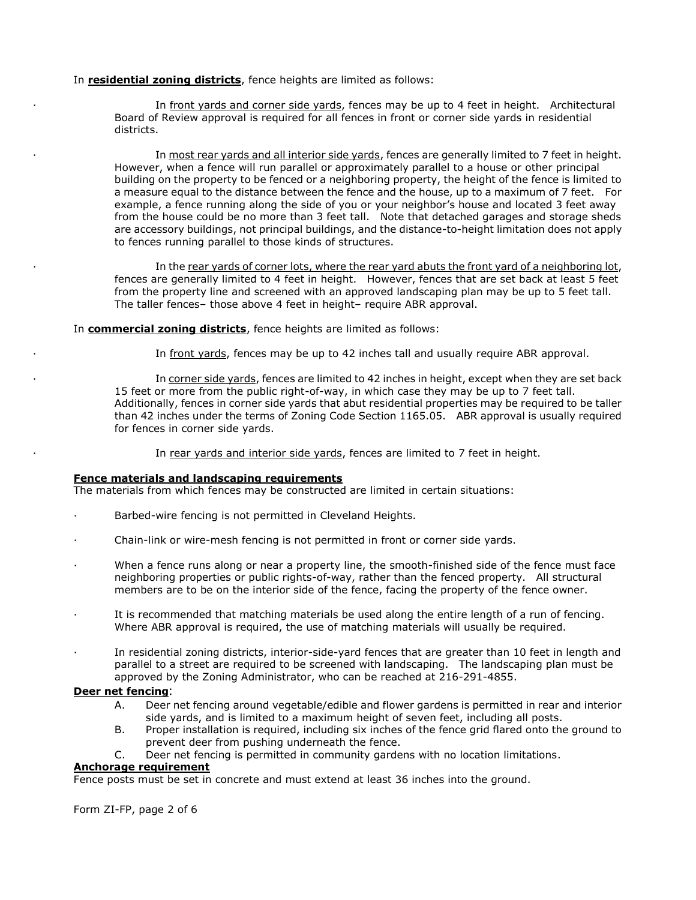#### In **residential zoning districts**, fence heights are limited as follows:

In front yards and corner side yards, fences may be up to 4 feet in height. Architectural Board of Review approval is required for all fences in front or corner side yards in residential districts.

In most rear yards and all interior side yards, fences are generally limited to 7 feet in height. However, when a fence will run parallel or approximately parallel to a house or other principal building on the property to be fenced or a neighboring property, the height of the fence is limited to a measure equal to the distance between the fence and the house, up to a maximum of 7 feet. For example, a fence running along the side of you or your neighbor's house and located 3 feet away from the house could be no more than 3 feet tall. Note that detached garages and storage sheds are accessory buildings, not principal buildings, and the distance-to-height limitation does not apply to fences running parallel to those kinds of structures.

∙ In the rear yards of corner lots, where the rear yard abuts the front yard of a neighboring lot, fences are generally limited to 4 feet in height. However, fences that are set back at least 5 feet from the property line and screened with an approved landscaping plan may be up to 5 feet tall. The taller fences– those above 4 feet in height– require ABR approval.

#### In **commercial zoning districts**, fence heights are limited as follows:

∙ In front yards, fences may be up to 42 inches tall and usually require ABR approval.

In corner side yards, fences are limited to 42 inches in height, except when they are set back 15 feet or more from the public right-of-way, in which case they may be up to 7 feet tall. Additionally, fences in corner side yards that abut residential properties may be required to be taller than 42 inches under the terms of Zoning Code Section 1165.05. ABR approval is usually required for fences in corner side yards.

In rear yards and interior side yards, fences are limited to 7 feet in height.

#### **Fence materials and landscaping requirements**

The materials from which fences may be constructed are limited in certain situations:

- ∙ Barbed-wire fencing is not permitted in Cleveland Heights.
- ∙ Chain-link or wire-mesh fencing is not permitted in front or corner side yards.
- ∙ When a fence runs along or near a property line, the smooth-finished side of the fence must face neighboring properties or public rights-of-way, rather than the fenced property. All structural members are to be on the interior side of the fence, facing the property of the fence owner.
- ∙ It is recommended that matching materials be used along the entire length of a run of fencing. Where ABR approval is required, the use of matching materials will usually be required.
- ∙ In residential zoning districts, interior-side-yard fences that are greater than 10 feet in length and parallel to a street are required to be screened with landscaping. The landscaping plan must be approved by the Zoning Administrator, who can be reached at 216-291-4855.

#### **Deer net fencing**:

- A. Deer net fencing around vegetable/edible and flower gardens is permitted in rear and interior side yards, and is limited to a maximum height of seven feet, including all posts.
- B. Proper installation is required, including six inches of the fence grid flared onto the ground to prevent deer from pushing underneath the fence.
- C. Deer net fencing is permitted in community gardens with no location limitations.

#### **Anchorage requirement**

Fence posts must be set in concrete and must extend at least 36 inches into the ground.

Form ZI-FP, page 2 of 6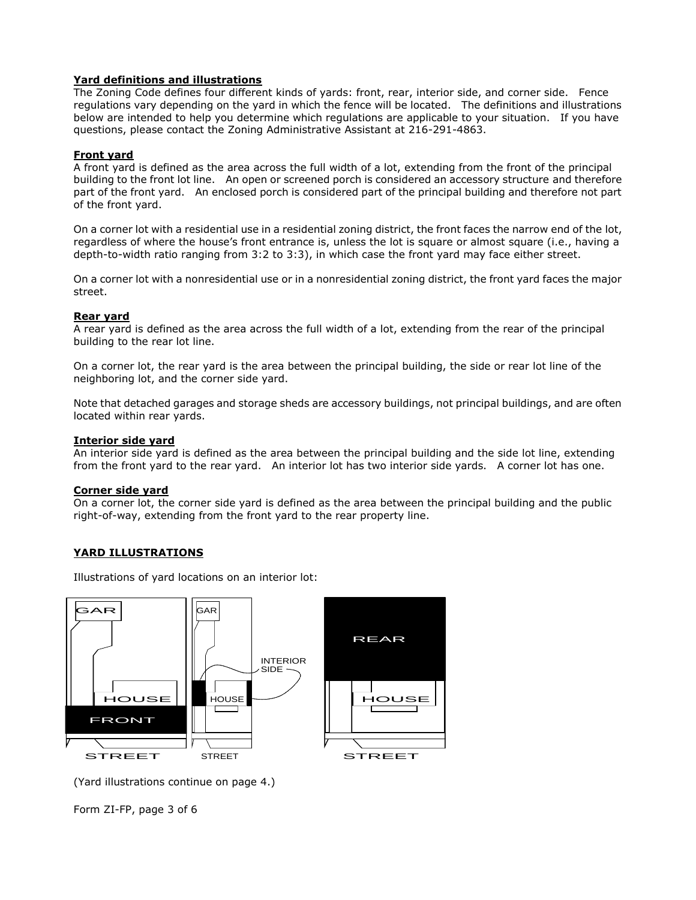# **Yard definitions and illustrations**

The Zoning Code defines four different kinds of yards: front, rear, interior side, and corner side. Fence regulations vary depending on the yard in which the fence will be located. The definitions and illustrations below are intended to help you determine which regulations are applicable to your situation. If you have questions, please contact the Zoning Administrative Assistant at 216-291-4863.

# **Front yard**

A front yard is defined as the area across the full width of a lot, extending from the front of the principal building to the front lot line. An open or screened porch is considered an accessory structure and therefore part of the front yard. An enclosed porch is considered part of the principal building and therefore not part of the front yard.

On a corner lot with a residential use in a residential zoning district, the front faces the narrow end of the lot, regardless of where the house's front entrance is, unless the lot is square or almost square (i.e., having a depth-to-width ratio ranging from 3:2 to 3:3), in which case the front yard may face either street.

On a corner lot with a nonresidential use or in a nonresidential zoning district, the front yard faces the major street.

# **Rear yard**

A rear yard is defined as the area across the full width of a lot, extending from the rear of the principal building to the rear lot line.

On a corner lot, the rear yard is the area between the principal building, the side or rear lot line of the neighboring lot, and the corner side yard.

Note that detached garages and storage sheds are accessory buildings, not principal buildings, and are often located within rear yards.

# **Interior side yard**

An interior side yard is defined as the area between the principal building and the side lot line, extending from the front yard to the rear yard. An interior lot has two interior side yards. A corner lot has one.

# **Corner side yard**

On a corner lot, the corner side yard is defined as the area between the principal building and the public right-of-way, extending from the front yard to the rear property line.

# **YARD ILLUSTRATIONS**

Illustrations of yard locations on an interior lot:



Form ZI-FP, page 3 of 6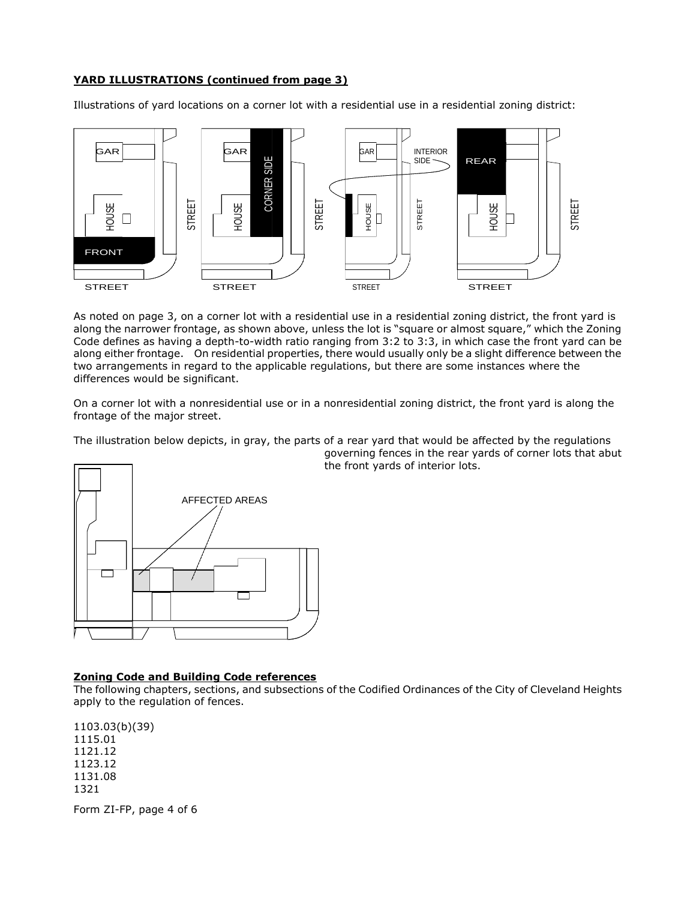# **YARD ILLUSTRATIONS (continued from page 3)**

Illustrations of yard locations on a corner lot with a residential use in a residential zoning district:



As noted on page 3, on a corner lot with a residential use in a residential zoning district, the front yard is along the narrower frontage, as shown above, unless the lot is "square or almost square," which the Zoning Code defines as having a depth-to-width ratio ranging from 3:2 to 3:3, in which case the front yard can be along either frontage. On residential properties, there would usually only be a slight difference between the two arrangements in regard to the applicable regulations, but there are some instances where the differences would be significant.

On a corner lot with a nonresidential use or in a nonresidential zoning district, the front yard is along the frontage of the major street.

The illustration below depicts, in gray, the parts of a rear yard that would be affected by the regulations



governing fences in the rear yards of corner lots that abut the front yards of interior lots.

# **Zoning Code and Building Code references**

The following chapters, sections, and subsections of the Codified Ordinances of the City of Cleveland Heights apply to the regulation of fences.

1103.03(b)(39) 1115.01 1121.12 1123.12 1131.08

Form ZI-FP, page 4 of 6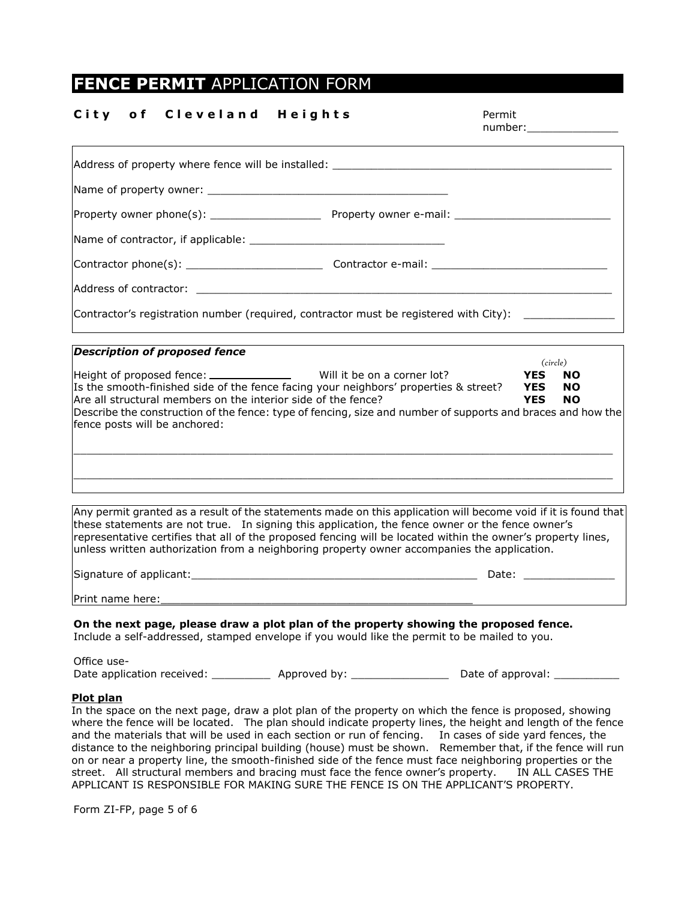# **FENCE PERMIT** APPLICATION FORM

# **City of Cleveland Heights** Permit

number:

| Address of property where fence will be installed: _____________________________      |  |  |
|---------------------------------------------------------------------------------------|--|--|
|                                                                                       |  |  |
|                                                                                       |  |  |
|                                                                                       |  |  |
|                                                                                       |  |  |
|                                                                                       |  |  |
| Contractor's registration number (required, contractor must be registered with City): |  |  |
| <b>Description of proposed fence</b>                                                  |  |  |

|                                                                                                                                              |            | (circle)  |  |
|----------------------------------------------------------------------------------------------------------------------------------------------|------------|-----------|--|
| Height of proposed fence: ______________<br>Will it be on a corner lot?                                                                      | <b>YES</b> | <b>NO</b> |  |
| Is the smooth-finished side of the fence facing your neighbors' properties & street?                                                         | <b>YES</b> | <b>NO</b> |  |
| Are all structural members on the interior side of the fence?                                                                                | <b>YES</b> | <b>NO</b> |  |
| Describe the construction of the fence: type of fencing, size and number of supports and braces and how the<br>fence posts will be anchored: |            |           |  |
|                                                                                                                                              |            |           |  |
|                                                                                                                                              |            |           |  |

Any permit granted as a result of the statements made on this application will become void if it is found that these statements are not true. In signing this application, the fence owner or the fence owner's representative certifies that all of the proposed fencing will be located within the owner's property lines, unless written authorization from a neighboring property owner accompanies the application.

| Signature of applicant: | Date: |
|-------------------------|-------|
| Print name here:        |       |

#### **On the next page, please draw a plot plan of the property showing the proposed fence.**  Include a self-addressed, stamped envelope if you would like the permit to be mailed to you.

Office use-Date application received: \_\_\_\_\_\_\_\_\_\_\_\_ Approved by: \_\_\_\_\_\_\_\_\_\_\_\_\_\_\_\_\_\_\_\_ Date of approval:

#### **Plot plan**

 $\Gamma$ 

In the space on the next page, draw a plot plan of the property on which the fence is proposed, showing where the fence will be located. The plan should indicate property lines, the height and length of the fence and the materials that will be used in each section or run of fencing. In cases of side yard fences, the distance to the neighboring principal building (house) must be shown. Remember that, if the fence will run on or near a property line, the smooth-finished side of the fence must face neighboring properties or the street. All structural members and bracing must face the fence owner's property. IN ALL CASES THE APPLICANT IS RESPONSIBLE FOR MAKING SURE THE FENCE IS ON THE APPLICANT'S PROPERTY.

Form ZI-FP, page 5 of 6